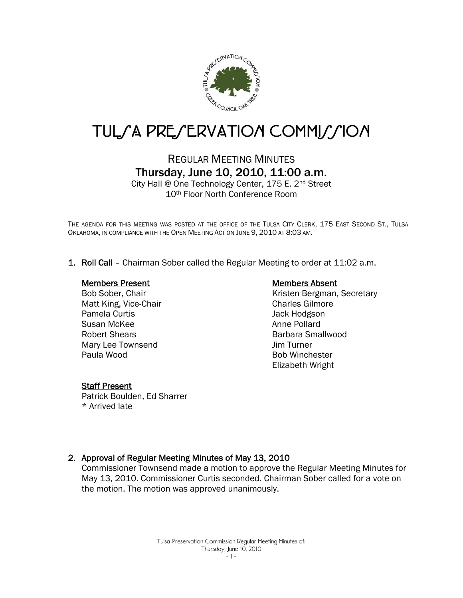

# TUL*SA PRESERVATION COMMISSION*

## REGULAR MEETING MINUTES Thursday, June 10, 2010, 11:00 a.m.

City Hall @ One Technology Center, 175 E. 2nd Street 10th Floor North Conference Room

THE AGENDA FOR THIS MEETING WAS POSTED AT THE OFFICE OF THE TULSA CITY CLERK, 175 EAST SECOND ST., TULSA OKLAHOMA, IN COMPLIANCE WITH THE OPEN MEETING ACT ON JUNE 9, 2010 AT 8:03 AM.

1. Roll Call – Chairman Sober called the Regular Meeting to order at 11:02 a.m.

#### Members Present

Bob Sober, Chair Matt King, Vice-Chair Pamela Curtis Susan McKee Robert Shears Mary Lee Townsend Paula Wood

#### Members Absent

Kristen Bergman, Secretary Charles Gilmore Jack Hodgson Anne Pollard Barbara Smallwood Jim Turner Bob Winchester Elizabeth Wright

#### **Staff Present**

Patrick Boulden, Ed Sharrer \* Arrived late

#### 2. Approval of Regular Meeting Minutes of May 13, 2010

Commissioner Townsend made a motion to approve the Regular Meeting Minutes for May 13, 2010. Commissioner Curtis seconded. Chairman Sober called for a vote on the motion. The motion was approved unanimously.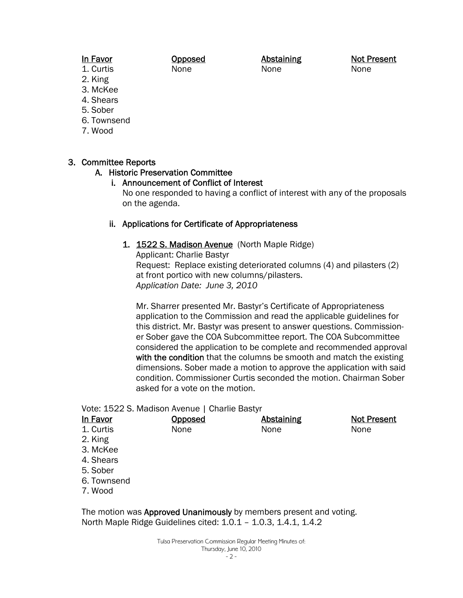#### In Favor 1. Curtis

Opposed None

Abstaining None

Not Present None

- 2. King
- 3. McKee
- 4. Shears
- 5. Sober
- 6. Townsend
- 7. Wood

## 3. Committee Reports

#### A. Historic Preservation Committee

#### i. Announcement of Conflict of Interest

No one responded to having a conflict of interest with any of the proposals on the agenda.

#### ii. Applications for Certificate of Appropriateness

1. 1522 S. Madison Avenue (North Maple Ridge) Applicant: Charlie Bastyr Request: Replace existing deteriorated columns (4) and pilasters (2) at front portico with new columns/pilasters. *Application Date: June 3, 2010* 

Mr. Sharrer presented Mr. Bastyr's Certificate of Appropriateness application to the Commission and read the applicable guidelines for this district. Mr. Bastyr was present to answer questions. Commissioner Sober gave the COA Subcommittee report. The COA Subcommittee considered the application to be complete and recommended approval with the condition that the columns be smooth and match the existing dimensions. Sober made a motion to approve the application with said condition. Commissioner Curtis seconded the motion. Chairman Sober asked for a vote on the motion.

Vote: 1522 S. Madison Avenue | Charlie Bastyr

| In Favor    | Opposed | Abstaining | <b>Not Present</b> |
|-------------|---------|------------|--------------------|
| 1. Curtis   | None    | None       | None               |
| 2. King     |         |            |                    |
| 3. McKee    |         |            |                    |
| 4. Shears   |         |            |                    |
| 5. Sober    |         |            |                    |
| 6. Townsend |         |            |                    |
| 7. Wood     |         |            |                    |
|             |         |            |                    |
|             |         |            |                    |

The motion was **Approved Unanimously** by members present and voting. North Maple Ridge Guidelines cited: 1.0.1 – 1.0.3, 1.4.1, 1.4.2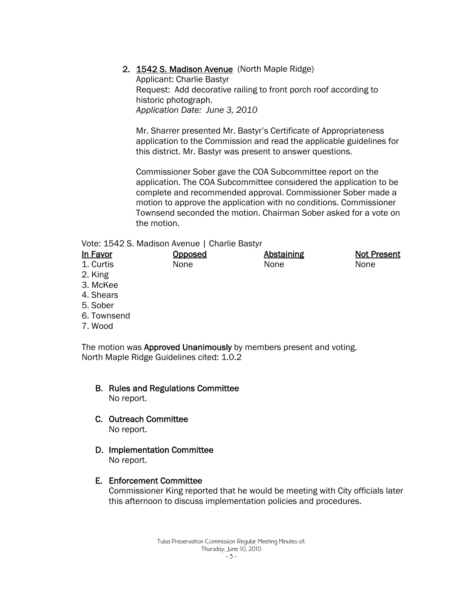#### 2. 1542 S. Madison Avenue (North Maple Ridge)

Applicant: Charlie Bastyr Request: Add decorative railing to front porch roof according to historic photograph. *Application Date: June 3, 2010* 

Mr. Sharrer presented Mr. Bastyr's Certificate of Appropriateness application to the Commission and read the applicable guidelines for this district. Mr. Bastyr was present to answer questions.

Commissioner Sober gave the COA Subcommittee report on the application. The COA Subcommittee considered the application to be complete and recommended approval. Commissioner Sober made a motion to approve the application with no conditions. Commissioner Townsend seconded the motion. Chairman Sober asked for a vote on the motion.

#### Vote: 1542 S. Madison Avenue | Charlie Bastyr

| In Favor  | Opposed | Abstaining | <b>Not Present</b> |
|-----------|---------|------------|--------------------|
| 1. Curtis | None    | None       | None               |
| 2. King   |         |            |                    |

- 3. McKee
- 4. Shears
- 5. Sober
- 6. Townsend
- 7. Wood

The motion was Approved Unanimously by members present and voting. North Maple Ridge Guidelines cited: 1.0.2

- B. Rules and Regulations Committee No report.
- C. Outreach Committee No report.
- D. Implementation Committee No report.
- E. Enforcement Committee

Commissioner King reported that he would be meeting with City officials later this afternoon to discuss implementation policies and procedures.